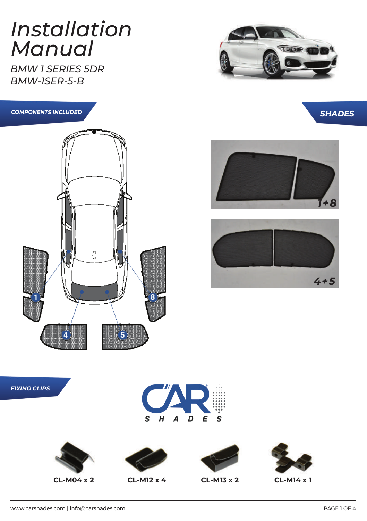#### *Installation Manual*

*BMW 1 SERIES 5DR BMW-1SER-5-B*











*FIXING CLIPS*









www.carshades.com | info@carshades.com | www.carshades.com | PAGE 1 OF 4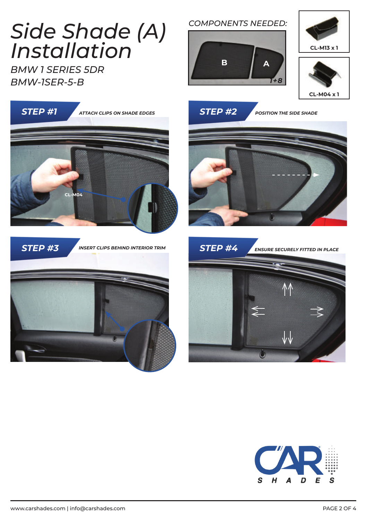## *Side Shade (A) Installation*

*BMW 1 SERIES 5DR BMW-1SER-5-B*

# *STEP #1 STEP #2 ATTACH CLIPS ON SHADE EDGES STEP #3 STEP #4 ENSURE SECURELY FITTED IN PLACE INSERT CLIPS BEHIND INTERIOR TRIM POSITION THE SIDE SHADE*  **CL-M04**









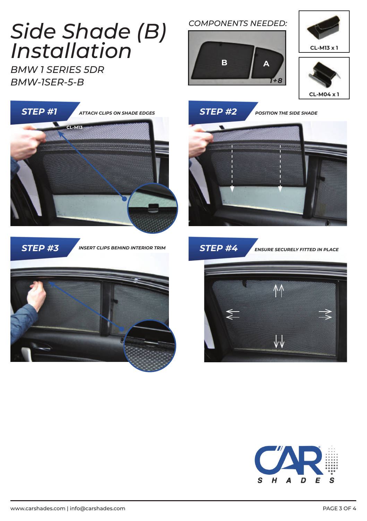### *Side Shade (B) Installation*

*BMW 1 SERIES 5DR BMW-1SER-5-B*



*STEP #3 STEP #4 ENSURE SECURELY FITTED IN PLACE INSERT CLIPS BEHIND INTERIOR TRIM*



#### *COMPONENTS NEEDED:*